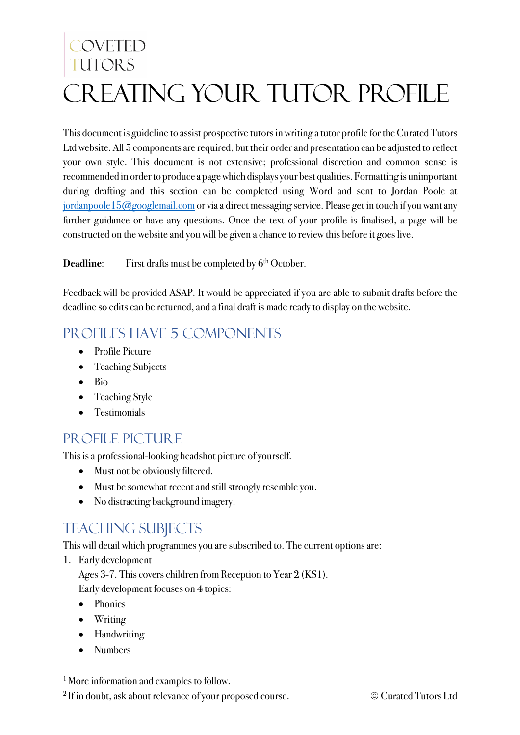# COVETED TUTORS Creating your Tutor Profile

This document is guideline to assist prospective tutorsin writing a tutor profile for the Curated Tutors Ltd website. All 5 components are required, but their order and presentation can be adjusted to reflect your own style. This document is not extensive; professional discretion and common sense is recommended in order to produce a page which displays your best qualities. Formatting is unimportant during drafting and this section can be completed using Word and sent to Jordan Poole at jordanpoole 15@googlemail.com or via a direct messaging service. Please get in touch if you want any further guidance or have any questions. Once the text of your profile is finalised, a page will be constructed on the website and you will be given a chance to review this before it goes live.

**Deadline:** First drafts must be completed by 6<sup>th</sup> October.

Feedback will be provided ASAP. It would be appreciated if you are able to submit drafts before the deadline so edits can be returned, and a final draft is made ready to display on the website.

## PROFILES HAVE 5 COMPONENTS

- Profile Picture
- Teaching Subjects
- Bio
- Teaching Style
- Testimonials

### PROFILE PICTURE

This is a professional-looking headshot picture of yourself.

- Must not be obviously filtered.
- Must be somewhat recent and still strongly resemble you.
- No distracting background imagery.

## Teaching subjects

This will detail which programmes you are subscribed to. The current options are:

1. Early development

Ages 3-7. This covers children from Reception to Year 2 (KS1).

Early development focuses on 4 topics:

- Phonics
- Writing
- Handwriting
- Numbers

<sup>1</sup> More information and examples to follow.

<sup>2</sup> If in doubt, ask about relevance of your proposed course.  $\bullet$  Curated Tutors Ltd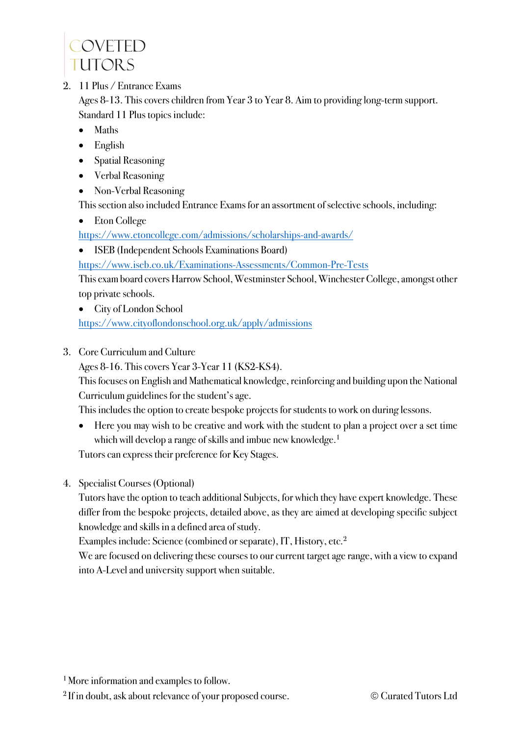

2. 11 Plus / Entrance Exams

Ages 8-13. This covers children from Year 3 to Year 8. Aim to providing long-term support. Standard 11 Plus topics include:

- Maths
- English
- Spatial Reasoning
- Verbal Reasoning
- Non-Verbal Reasoning

This section also included Entrance Exams for an assortment of selective schools, including:

• Eton College

https://www.etoncollege.com/admissions/scholarships-and-awards/

• ISEB (Independent Schools Examinations Board)

https://www.iseb.co.uk/Examinations-Assessments/Common-Pre-Tests

This exam board covers Harrow School, Westminster School, Winchester College, amongst other top private schools.

- City of London School https://www.cityoflondonschool.org.uk/apply/admissions
- 3. Core Curriculum and Culture

Ages 8-16. This covers Year 3-Year 11 (KS2-KS4).

This focuses on English and Mathematical knowledge, reinforcing and building upon the National Curriculum guidelines for the student's age.

This includes the option to create bespoke projects for students to work on during lessons.

• Here you may wish to be creative and work with the student to plan a project over a set time which will develop a range of skills and imbue new knowledge.<sup>1</sup>

Tutors can express their preference for Key Stages.

4. Specialist Courses (Optional)

Tutors have the option to teach additional Subjects, for which they have expert knowledge. These differ from the bespoke projects, detailed above, as they are aimed at developing specific subject knowledge and skills in a defined area of study.

Examples include: Science (combined or separate), IT, History, etc.2

We are focused on delivering these courses to our current target age range, with a view to expand into A-Level and university support when suitable.

<sup>2</sup> If in doubt, ask about relevance of your proposed course.  $\bullet$  Curated Tutors Ltd

<sup>&</sup>lt;sup>1</sup> More information and examples to follow.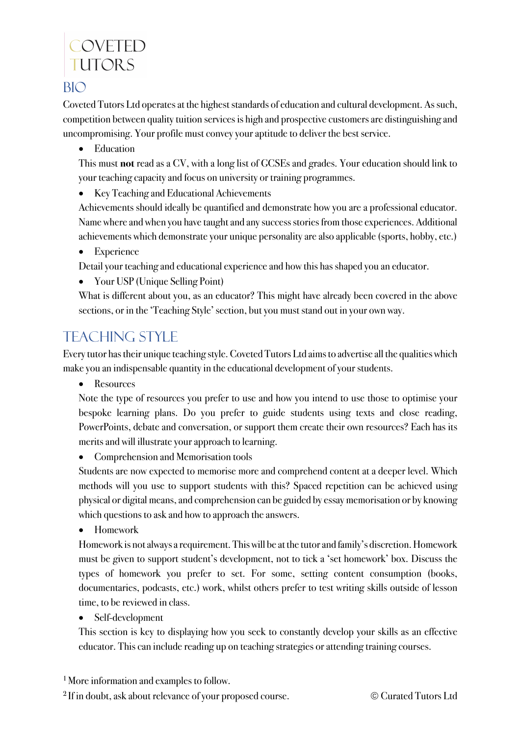## COVETED **TUTORS**

#### **BIO**

Coveted Tutors Ltd operates at the highest standards of education and cultural development. As such, competition between quality tuition services is high and prospective customers are distinguishing and uncompromising. Your profile must convey your aptitude to deliver the best service.

• Education

This must **not** read as a CV, with a long list of GCSEs and grades. Your education should link to your teaching capacity and focus on university or training programmes.

• Key Teaching and Educational Achievements

Achievements should ideally be quantified and demonstrate how you are a professional educator. Name where and when you have taught and any success stories from those experiences. Additional achievements which demonstrate your unique personality are also applicable (sports, hobby, etc.)

• Experience

Detail your teaching and educational experience and how this has shaped you an educator.

• Your USP (Unique Selling Point)

What is different about you, as an educator? This might have already been covered in the above sections, or in the 'Teaching Style' section, but you must stand out in your own way.

## Teaching Style

Every tutor has their unique teaching style. Coveted Tutors Ltd aims to advertise all the qualities which make you an indispensable quantity in the educational development of your students.

• Resources

Note the type of resources you prefer to use and how you intend to use those to optimise your bespoke learning plans. Do you prefer to guide students using texts and close reading, PowerPoints, debate and conversation, or support them create their own resources? Each has its merits and will illustrate your approach to learning.

• Comprehension and Memorisation tools

Students are now expected to memorise more and comprehend content at a deeper level. Which methods will you use to support students with this? Spaced repetition can be achieved using physical or digital means, and comprehension can be guided by essay memorisation or by knowing which questions to ask and how to approach the answers.

• Homework

Homework is not always a requirement. This will be at the tutor and family's discretion. Homework must be given to support student's development, not to tick a 'set homework' box. Discuss the types of homework you prefer to set. For some, setting content consumption (books, documentaries, podcasts, etc.) work, whilst others prefer to test writing skills outside of lesson time, to be reviewed in class.

• Self-development

This section is key to displaying how you seek to constantly develop your skills as an effective educator. This can include reading up on teaching strategies or attending training courses.

<sup>1</sup> More information and examples to follow.

<sup>2</sup> If in doubt, ask about relevance of your proposed course.  $\bullet$  Curated Tutors Ltd